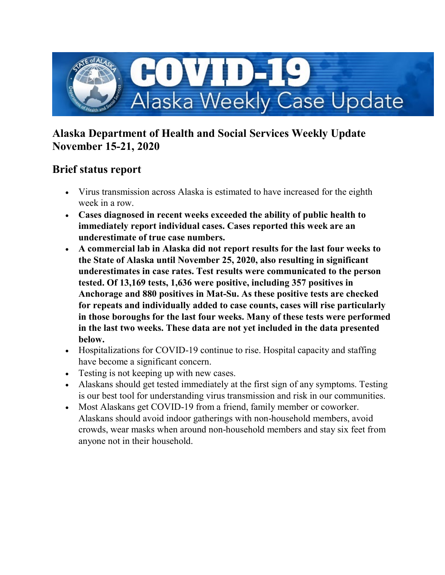

## **Alaska Department of Health and Social Services Weekly Update November 15-21, 2020**

## **Brief status report**

- Virus transmission across Alaska is estimated to have increased for the eighth week in a row.
- **Cases diagnosed in recent weeks exceeded the ability of public health to immediately report individual cases. Cases reported this week are an underestimate of true case numbers.**
- **A commercial lab in Alaska did not report results for the last four weeks to the State of Alaska until November 25, 2020, also resulting in significant underestimates in case rates. Test results were communicated to the person tested. Of 13,169 tests, 1,636 were positive, including 357 positives in Anchorage and 880 positives in Mat-Su. As these positive tests are checked for repeats and individually added to case counts, cases will rise particularly in those boroughs for the last four weeks. Many of these tests were performed in the last two weeks. These data are not yet included in the data presented below.**
- Hospitalizations for COVID-19 continue to rise. Hospital capacity and staffing have become a significant concern.
- Testing is not keeping up with new cases.
- Alaskans should get tested immediately at the first sign of any symptoms. Testing is our best tool for understanding virus transmission and risk in our communities.
- Most Alaskans get COVID-19 from a friend, family member or coworker. Alaskans should avoid indoor gatherings with non-household members, avoid crowds, wear masks when around non-household members and stay six feet from anyone not in their household.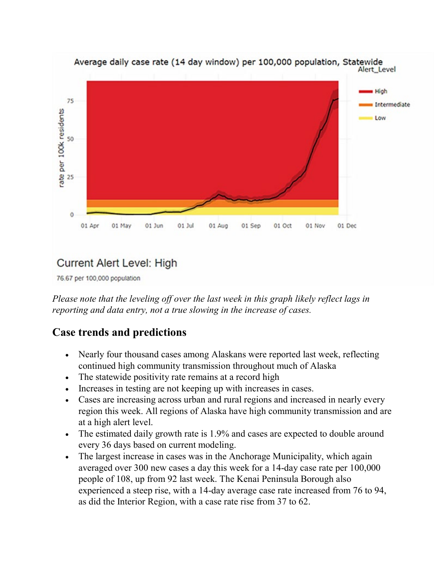

76.67 per 100,000 population

*Please note that the leveling off over the last week in this graph likely reflect lags in reporting and data entry, not a true slowing in the increase of cases.* 

# **Case trends and predictions**

- Nearly four thousand cases among Alaskans were reported last week, reflecting continued high community transmission throughout much of Alaska
- The statewide positivity rate remains at a record high
- Increases in testing are not keeping up with increases in cases.
- Cases are increasing across urban and rural regions and increased in nearly every region this week. All regions of Alaska have high community transmission and are at a high alert level.
- The estimated daily growth rate is 1.9% and cases are expected to double around every 36 days based on current modeling.
- The largest increase in cases was in the Anchorage Municipality, which again averaged over 300 new cases a day this week for a 14-day case rate per 100,000 people of 108, up from 92 last week. The Kenai Peninsula Borough also experienced a steep rise, with a 14-day average case rate increased from 76 to 94, as did the Interior Region, with a case rate rise from 37 to 62.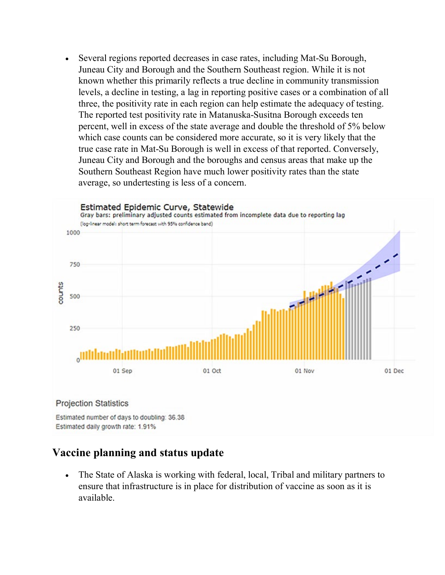• Several regions reported decreases in case rates, including Mat-Su Borough, Juneau City and Borough and the Southern Southeast region. While it is not known whether this primarily reflects a true decline in community transmission levels, a decline in testing, a lag in reporting positive cases or a combination of all three, the positivity rate in each region can help estimate the adequacy of testing. The reported test positivity rate in Matanuska-Susitna Borough exceeds ten percent, well in excess of the state average and double the threshold of 5% below which case counts can be considered more accurate, so it is very likely that the true case rate in Mat-Su Borough is well in excess of that reported. Conversely, Juneau City and Borough and the boroughs and census areas that make up the Southern Southeast Region have much lower positivity rates than the state average, so undertesting is less of a concern.



#### **Projection Statistics**

Estimated number of days to doubling: 36.38 Estimated daily growth rate: 1.91%

#### **Vaccine planning and status update**

• The State of Alaska is working with federal, local, Tribal and military partners to ensure that infrastructure is in place for distribution of vaccine as soon as it is available.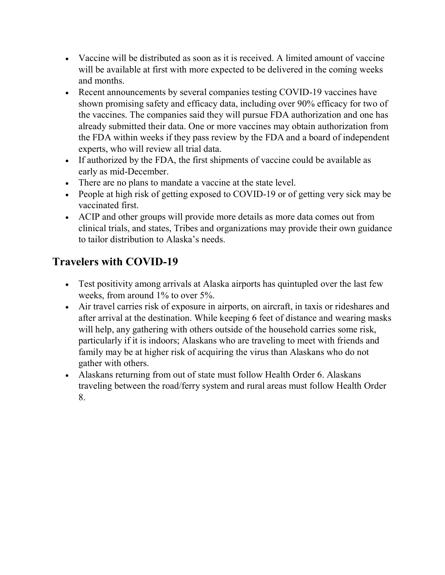- Vaccine will be distributed as soon as it is received. A limited amount of vaccine will be available at first with more expected to be delivered in the coming weeks and months.
- Recent announcements by several companies testing COVID-19 vaccines have shown promising safety and efficacy data, including over 90% efficacy for two of the vaccines. The companies said they will pursue FDA authorization and one has already submitted their data. One or more vaccines may obtain authorization from the FDA within weeks if they pass review by the FDA and a board of independent experts, who will review all trial data.
- If authorized by the FDA, the first shipments of vaccine could be available as early as mid-December.
- There are no plans to mandate a vaccine at the state level.
- People at high risk of getting exposed to COVID-19 or of getting very sick may be vaccinated first.
- ACIP and other groups will provide more details as more data comes out from clinical trials, and states, Tribes and organizations may provide their own guidance to tailor distribution to Alaska's needs.

# **Travelers with COVID-19**

- Test positivity among arrivals at Alaska airports has quintupled over the last few weeks, from around 1% to over 5%.
- Air travel carries risk of exposure in airports, on aircraft, in taxis or rideshares and after arrival at the destination. While keeping 6 feet of distance and wearing masks will help, any gathering with others outside of the household carries some risk, particularly if it is indoors; Alaskans who are traveling to meet with friends and family may be at higher risk of acquiring the virus than Alaskans who do not gather with others.
- Alaskans returning from out of state must follow Health Order 6. Alaskans traveling between the road/ferry system and rural areas must follow Health Order 8.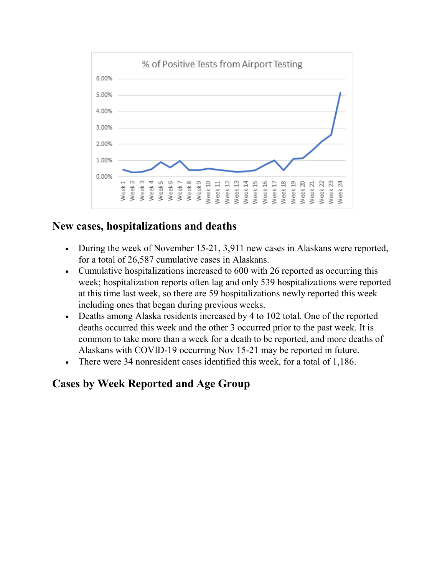

#### **New cases, hospitalizations and deaths**

- During the week of November 15-21, 3,911 new cases in Alaskans were reported, for a total of 26,587 cumulative cases in Alaskans.
- Cumulative hospitalizations increased to 600 with 26 reported as occurring this week; hospitalization reports often lag and only 539 hospitalizations were reported at this time last week, so there are 59 hospitalizations newly reported this week including ones that began during previous weeks.
- Deaths among Alaska residents increased by 4 to 102 total. One of the reported deaths occurred this week and the other 3 occurred prior to the past week. It is common to take more than a week for a death to be reported, and more deaths of Alaskans with COVID-19 occurring Nov 15-21 may be reported in future.
- There were 34 nonresident cases identified this week, for a total of 1,186.

## **Cases by Week Reported and Age Group**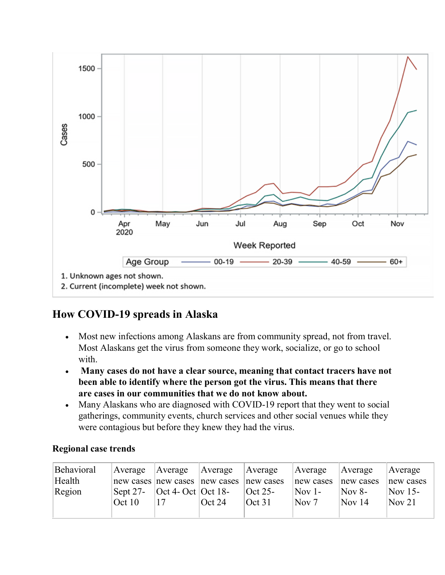

## **How COVID-19 spreads in Alaska**

- Most new infections among Alaskans are from community spread, not from travel. Most Alaskans get the virus from someone they work, socialize, or go to school with.
- **Many cases do not have a clear source, meaning that contact tracers have not been able to identify where the person got the virus. This means that there are cases in our communities that we do not know about.**
- Many Alaskans who are diagnosed with COVID-19 report that they went to social gatherings, community events, church services and other social venues while they were contagious but before they knew they had the virus.

| Behavioral | Average Average |                                                              | Average   | Average                                | Average          | Average                    | Average           |
|------------|-----------------|--------------------------------------------------------------|-----------|----------------------------------------|------------------|----------------------------|-------------------|
| Health     |                 | new cases new cases new cases new cases                      |           |                                        | new cases        | new cases                  | new cases         |
| Region     |                 | $\text{Sept } 27$ - $\text{Oct } 4$ - Oct $\text{Oct } 18$ - |           | $\vert \text{Oct } 25 \text{--} \vert$ | $\sqrt{N}$ ov 1- | $\overline{\text{Nov 8-}}$ | $\sqrt{Nov}$ 15-  |
|            | $\cot 10$       |                                                              | $\cot 24$ | $\text{Oct } 31$                       | Nov 7            | $\sqrt{N_{\rm OV}}$ 14     | $\sqrt{N}$ Nov 21 |
|            |                 |                                                              |           |                                        |                  |                            |                   |

#### **Regional case trends**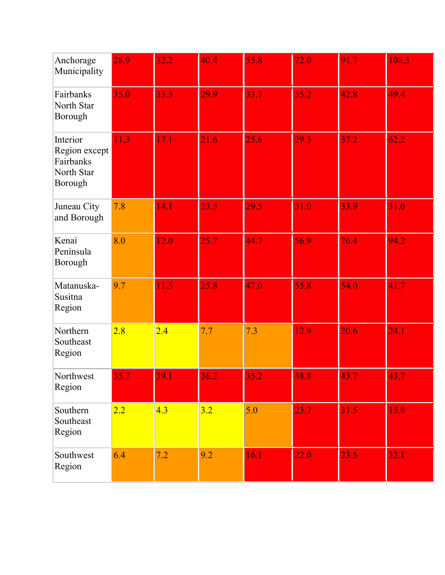| Anchorage<br>Municipality                                       | 28.9 | 32.2 | 40.4 | 55.8 | 72.0 | 91.7 | 108.3 |
|-----------------------------------------------------------------|------|------|------|------|------|------|-------|
| Fairbanks<br>North Star<br>Borough                              | 35.0 | 33.3 | 29.9 | 33.7 | 35.2 | 42.8 | 49.4  |
| Interior<br>Region except<br>Fairbanks<br>North Star<br>Borough | 11.3 | 17.1 | 21.6 | 25.6 | 29.3 | 37.2 | 62.2  |
| Juneau City<br>and Borough                                      | 7.8  | 14.1 | 23.5 | 29.5 | 31.0 | 33.9 | 31.0  |
| Kenai<br>Peninsula<br>Borough                                   | 8.0  | 12.0 | 25.7 | 44.7 | 56.9 | 76.4 | 94.2  |
| Matanuska-<br>Susitna<br>Region                                 | 9.7  | 11.5 | 25.8 | 47.0 | 55.8 | 54.0 | 41.7  |
| Northern<br>Southeast<br>Region                                 | 2.8  | 2.4  | 7.7  | 7.3  | 12.9 | 20.6 | 24.1  |
| Northwest<br>Region                                             | 35.7 | 39.1 | 36.2 | 35.2 | 38.8 | 43.7 | 43.7  |
| Southern<br>Southeast<br>Region                                 | 2.2  | 4.3  | 3.2  | 5.0  | 23.7 | 31.5 | 15.8  |
| Southwest<br>Region                                             | 6.4  | 7.2  | 9.2  | 16.1 | 22.0 | 23.5 | 32.1  |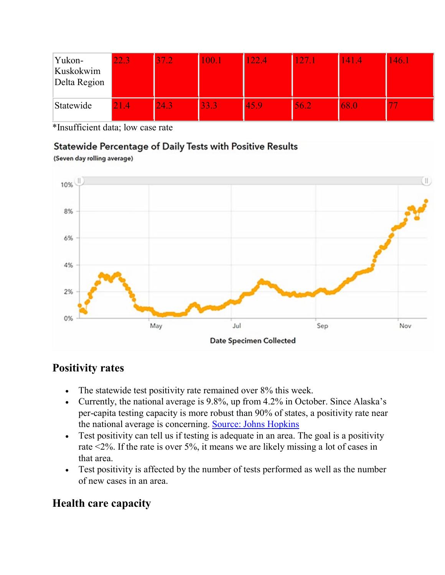| Yukon-<br>Kuskokwim<br>Delta Region | 22.31 | $37.2^{\circ}$ | 100.1 | $122.4^{\circ}$ | <b>127.1</b> | 141.4 | 146.1 |
|-------------------------------------|-------|----------------|-------|-----------------|--------------|-------|-------|
| Statewide                           | 1.4   | 24.3           | 33.3  | 45.9            | 56.2         | 68.0  |       |

\*Insufficient data; low case rate

#### Statewide Percentage of Daily Tests with Positive Results

(Seven day rolling average)



## **Positivity rates**

- The statewide test positivity rate remained over 8% this week.
- Currently, the national average is 9.8%, up from 4.2% in October. Since Alaska's per-capita testing capacity is more robust than 90% of states, a positivity rate near the national average is concerning. [Source: Johns Hopkins](https://lnks.gd/l/eyJhbGciOiJIUzI1NiJ9.eyJidWxsZXRpbl9saW5rX2lkIjoxMDAsInVyaSI6ImJwMjpjbGljayIsImJ1bGxldGluX2lkIjoiMjAyMDExMjguMzEyMzc1MTEiLCJ1cmwiOiJodHRwczovL2Nvcm9uYXZpcnVzLmpodS5lZHUvdGVzdGluZy9pbmRpdmlkdWFsLXN0YXRlcyJ9.1sIbdUPrgFmn3eWWc8c07oCBxm0eNWIW2d5eP3UW0hw/s/1125523096/br/90681540088-l)
- Test positivity can tell us if testing is adequate in an area. The goal is a positivity rate <2%. If the rate is over 5%, it means we are likely missing a lot of cases in that area.
- Test positivity is affected by the number of tests performed as well as the number of new cases in an area.

## **Health care capacity**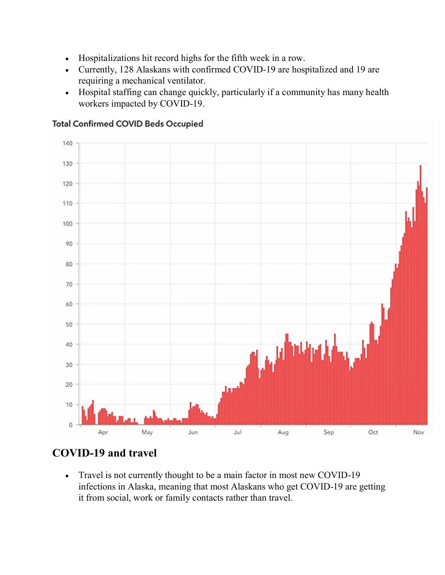- Hospitalizations hit record highs for the fifth week in a row.
- Currently, 128 Alaskans with confirmed COVID-19 are hospitalized and 19 are requiring a mechanical ventilator.
- Hospital staffing can change quickly, particularly if a community has many health workers impacted by COVID-19.



**Total Confirmed COVID Beds Occupied** 

# **COVID-19 and travel**

• Travel is not currently thought to be a main factor in most new COVID-19 infections in Alaska, meaning that most Alaskans who get COVID-19 are getting it from social, work or family contacts rather than travel.